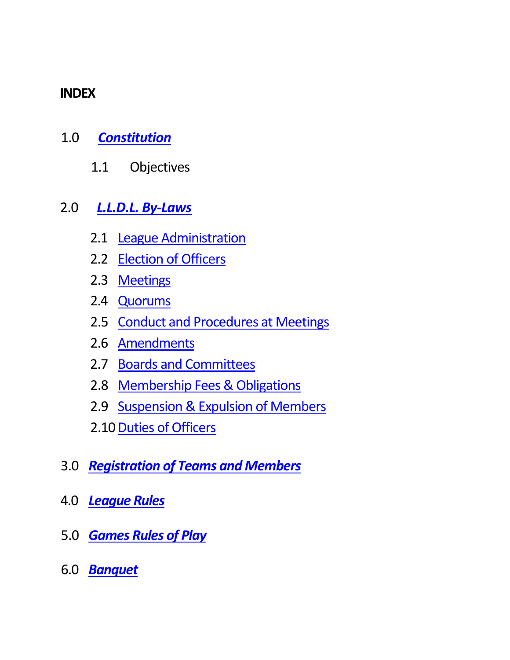### **INDEX**

- 1.0 *[Constitution](#page-1-0)*
	- 1.1 Objectives

# 2.0 *[L.L.D.L. By-Laws](#page-1-1)*

- 2.1 [League Administration](#page-1-2)
- 2.2 [Election of Officers](#page-1-3)
- 2.3 [Meetings](#page-2-0)
- 2.4 [Quorums](#page-3-0)
- 2.5 [Conduct and Procedures at Meetings](#page-3-1)
- 2.6 [Amendments](#page-5-0)
- 2.7 [Boards and Committees](#page-5-1)
- 2.8 [Membership Fees & Obligations](#page-5-2)
- 2.9 [Suspension & Expulsion of Members](#page-6-0)
- 2.10 [Duties of Officers](#page-7-0)
- 3.0 *[Registration of Teams and Members](#page-9-0)*
- 4.0 *[League Rules](#page-11-0)*
- 5.0 *[Games Rules of Play](#page-14-0)*
- 6.0 *[Banquet](#page-19-0)*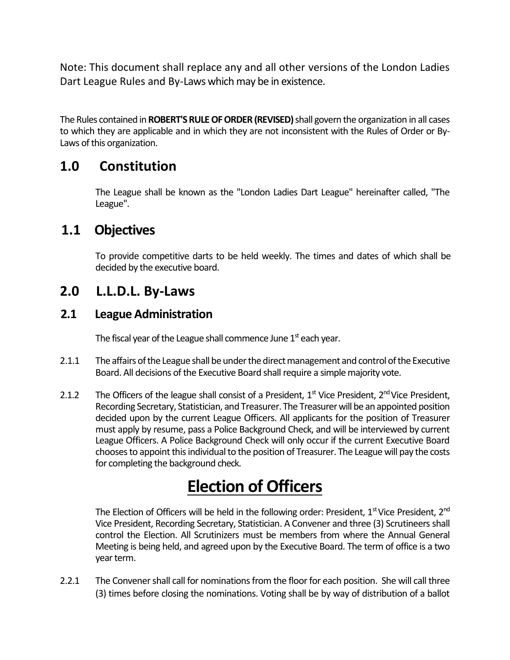Note: This document shall replace any and all other versions of the London Ladies Dart League Rules and By-Laws which may be in existence.

The Rules contained in **ROBERT'S RULE OF ORDER (REVISED)** shall govern the organization in all cases to which they are applicable and in which they are not inconsistent with the Rules of Order or By-Laws of this organization.

### <span id="page-1-0"></span>**1.0 Constitution**

The League shall be known as the "London Ladies Dart League" hereinafter called, "The League".

### **1.1 Objectives**

To provide competitive darts to be held weekly. The times and dates of which shall be decided by the executive board.

### <span id="page-1-1"></span>**2.0 L.L.D.L. By-Laws**

### <span id="page-1-2"></span>**2.1 League Administration**

The fiscal year of the League shall commence June  $1^\mathrm{st}$  each year.

- 2.1.1 The affairs of the League shall be under the direct management and control of the Executive Board. All decisions of the Executive Board shall require a simple majority vote.
- 2.1.2 The Officers of the league shall consist of a President,  $1<sup>st</sup>$  Vice President,  $2<sup>nd</sup>$  Vice President, Recording Secretary, Statistician, and Treasurer. The Treasurer will be an appointed position decided upon by the current League Officers. All applicants for the position of Treasurer must apply by resume, pass a Police Background Check, and will be interviewed by current League Officers. A Police Background Check will only occur if the current Executive Board chooses to appoint this individual to the position of Treasurer. The League will pay the costs for completing the background check.

# **Election of Officers**

<span id="page-1-3"></span>The Election of Officers will be held in the following order: President,  $1<sup>st</sup>$  Vice President,  $2<sup>nd</sup>$ Vice President, Recording Secretary, Statistician. A Convener and three (3) Scrutineers shall control the Election. All Scrutinizers must be members from where the Annual General Meeting is being held, and agreed upon by the Executive Board. The term of office is a two year term.

2.2.1 The Convener shall call for nominations from the floor for each position. She will call three (3) times before closing the nominations. Voting shall be by way of distribution of a ballot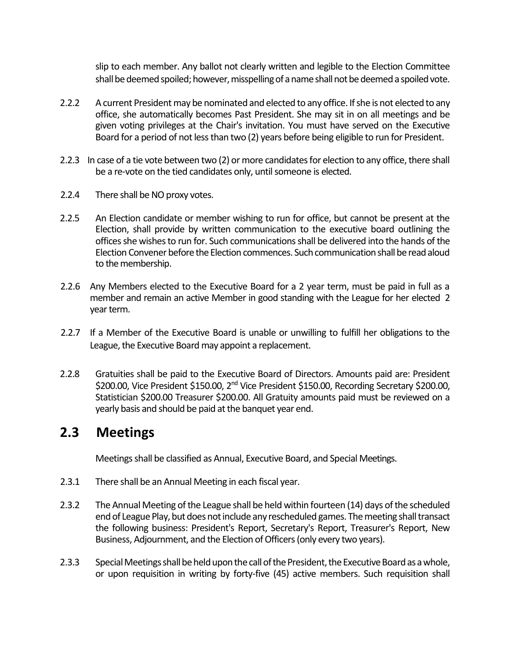slip to each member. Any ballot not clearly written and legible to the Election Committee shall be deemed spoiled; however, misspelling of a name shall not be deemed a spoiled vote.

- 2.2.2 A current President may be nominated and elected to any office. If she is not elected to any office, she automatically becomes Past President. She may sit in on all meetings and be given voting privileges at the Chair's invitation. You must have served on the Executive Board for a period of not less than two (2) years before being eligible to run for President.
- 2.2.3 In case of a tie vote between two (2) or more candidates for election to any office, there shall be a re-vote on the tied candidates only, until someone is elected.
- 2.2.4 There shall be NO proxy votes.
- 2.2.5 An Election candidate or member wishing to run for office, but cannot be present at the Election, shall provide by written communication to the executive board outlining the offices she wishes to run for. Such communications shall be delivered into the hands of the Election Convener before the Election commences. Such communication shall be read aloud to the membership.
- 2.2.6 Any Members elected to the Executive Board for a 2 year term, must be paid in full as a member and remain an active Member in good standing with the League for her elected 2 year term.
- 2.2.7 If a Member of the Executive Board is unable or unwilling to fulfill her obligations to the League, the Executive Board may appoint a replacement.
- 2.2.8 Gratuities shall be paid to the Executive Board of Directors. Amounts paid are: President \$200.00, Vice President \$150.00, 2<sup>nd</sup> Vice President \$150.00, Recording Secretary \$200.00, Statistician \$200.00 Treasurer \$200.00. All Gratuity amounts paid must be reviewed on a yearly basis and should be paid at the banquet year end.

### <span id="page-2-0"></span>**2.3 Meetings**

Meetings shall be classified as Annual, Executive Board, and Special Meetings.

- 2.3.1 There shall be an Annual Meeting in each fiscal year.
- 2.3.2 The Annual Meeting of the League shall be held within fourteen (14) days of the scheduled end of League Play, but does not include any rescheduled games. The meeting shall transact the following business: President's Report, Secretary's Report, Treasurer's Report, New Business, Adjournment, and the Election of Officers (only every two years).
- 2.3.3 Special Meetings shall be held upon the call of the President, the Executive Board as a whole, or upon requisition in writing by forty-five (45) active members. Such requisition shall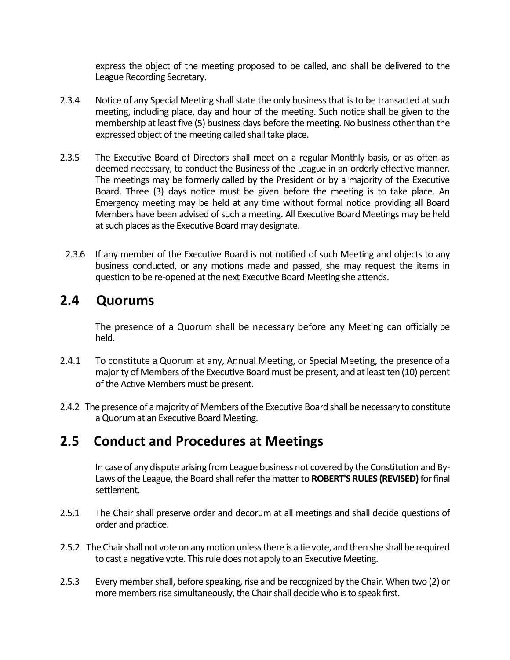express the object of the meeting proposed to be called, and shall be delivered to the League Recording Secretary.

- 2.3.4 Notice of any Special Meeting shall state the only business that is to be transacted at such meeting, including place, day and hour of the meeting. Such notice shall be given to the membership at least five (5) business days before the meeting. No business other than the expressed object of the meeting called shall take place.
- 2.3.5 The Executive Board of Directors shall meet on a regular Monthly basis, or as often as deemed necessary, to conduct the Business of the League in an orderly effective manner. The meetings may be formerly called by the President or by a majority of the Executive Board. Three (3) days notice must be given before the meeting is to take place. An Emergency meeting may be held at any time without formal notice providing all Board Members have been advised of such a meeting. All Executive Board Meetings may be held at such places as the Executive Board may designate.
- 2.3.6 If any member of the Executive Board is not notified of such Meeting and objects to any business conducted, or any motions made and passed, she may request the items in question to be re-opened at the next Executive Board Meeting she attends.

### <span id="page-3-0"></span>**2.4 Quorums**

The presence of a Quorum shall be necessary before any Meeting can officially be held.

- 2.4.1 To constitute a Quorum at any, Annual Meeting, or Special Meeting, the presence of a majority of Members of the Executive Board must be present, and at least ten (10) percent of the Active Members must be present.
- 2.4.2 The presence of a majority of Members of the Executive Board shall be necessary to constitute a Quorum at an Executive Board Meeting.

# <span id="page-3-1"></span>**2.5 Conduct and Procedures at Meetings**

In case of any dispute arising from League business not covered by the Constitution and By-Laws of the League, the Board shall refer the matter to **ROBERT'S RULES (REVISED)** for final settlement.

- 2.5.1 The Chair shall preserve order and decorum at all meetings and shall decide questions of order and practice.
- 2.5.2 The Chair shall not vote on any motion unless there is a tie vote, and then she shall be required to cast a negative vote. This rule does not apply to an Executive Meeting.
- 2.5.3 Every member shall, before speaking, rise and be recognized by the Chair. When two (2) or more members rise simultaneously, the Chair shall decide who is to speak first.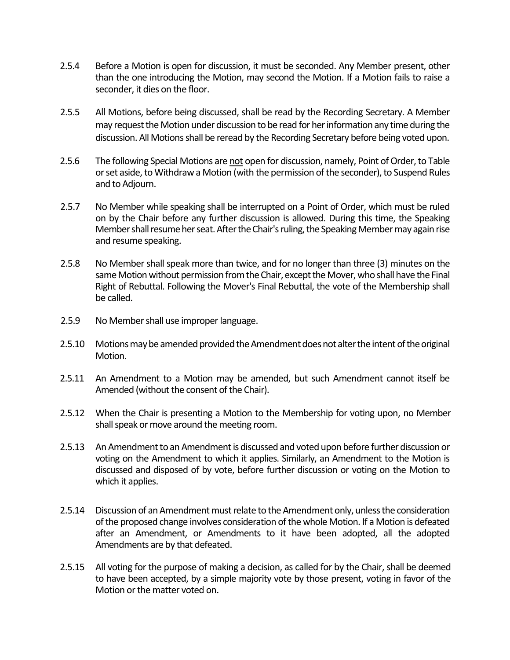- 2.5.4 Before a Motion is open for discussion, it must be seconded. Any Member present, other than the one introducing the Motion, may second the Motion. If a Motion fails to raise a seconder, it dies on the floor.
- 2.5.5 All Motions, before being discussed, shall be read by the Recording Secretary. A Member may request the Motion under discussion to be read for her information any time during the discussion. All Motions shall be reread by the Recording Secretary before being voted upon.
- 2.5.6 The following Special Motions are not open for discussion, namely, Point of Order, to Table or set aside, to Withdraw a Motion (with the permission of the seconder), to Suspend Rules and to Adjourn.
- 2.5.7 No Member while speaking shall be interrupted on a Point of Order, which must be ruled on by the Chair before any further discussion is allowed. During this time, the Speaking Member shall resume her seat. After the Chair's ruling, the Speaking Member may again rise and resume speaking.
- 2.5.8 No Member shall speak more than twice, and for no longer than three (3) minutes on the same Motion without permission from the Chair, except the Mover, who shall have the Final Right of Rebuttal. Following the Mover's Final Rebuttal, the vote of the Membership shall be called.
- 2.5.9 No Member shall use improper language.
- 2.5.10 Motions may be amended provided the Amendment does not alter the intent of the original Motion.
- 2.5.11 An Amendment to a Motion may be amended, but such Amendment cannot itself be Amended (without the consent of the Chair).
- 2.5.12 When the Chair is presenting a Motion to the Membership for voting upon, no Member shall speak or move around the meeting room.
- 2.5.13 An Amendment to an Amendment is discussed and voted upon before further discussion or voting on the Amendment to which it applies. Similarly, an Amendment to the Motion is discussed and disposed of by vote, before further discussion or voting on the Motion to which it applies.
- 2.5.14 Discussion of an Amendment must relate to the Amendment only, unless the consideration of the proposed change involves consideration of the whole Motion. If a Motion is defeated after an Amendment, or Amendments to it have been adopted, all the adopted Amendments are by that defeated.
- 2.5.15 All voting for the purpose of making a decision, as called for by the Chair, shall be deemed to have been accepted, by a simple majority vote by those present, voting in favor of the Motion or the matter voted on.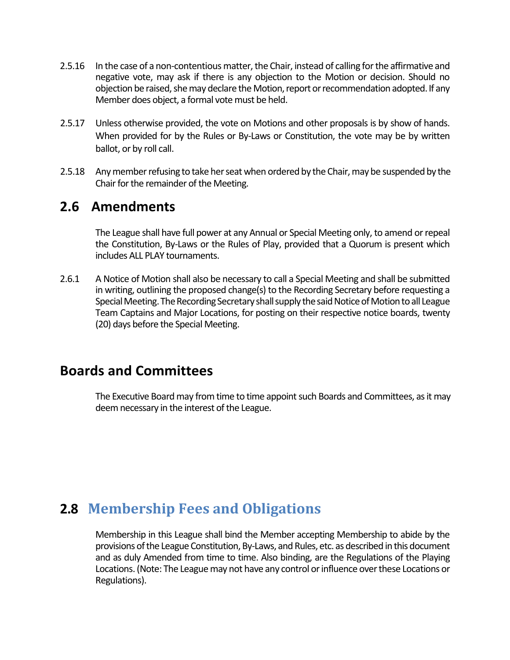- 2.5.16 In the case of a non-contentious matter, the Chair, instead of calling for the affirmative and negative vote, may ask if there is any objection to the Motion or decision. Should no objection be raised, she may declare theMotion, report or recommendation adopted. If any Member does object, a formal vote must be held.
- 2.5.17 Unless otherwise provided, the vote on Motions and other proposals is by show of hands. When provided for by the Rules or By-Laws or Constitution, the vote may be by written ballot, or by roll call.
- 2.5.18 Any member refusing to take her seat when ordered by the Chair, may be suspended by the Chair for the remainder of the Meeting.

### <span id="page-5-0"></span>**2.6 Amendments**

The League shall have full power at any Annual or Special Meeting only, to amend or repeal the Constitution, By-Laws or the Rules of Play, provided that a Quorum is present which includes ALL PLAY tournaments.

2.6.1 A Notice of Motion shall also be necessary to call a Special Meeting and shall be submitted in writing, outlining the proposed change(s) to the Recording Secretary before requesting a Special Meeting. The Recording Secretary shall supply the said Notice of Motion to all League Team Captains and Major Locations, for posting on their respective notice boards, twenty (20) days before the Special Meeting.

### <span id="page-5-1"></span>**Boards and Committees**

The Executive Board may from time to time appoint such Boards and Committees, as it may deem necessary in the interest of the League.

# <span id="page-5-2"></span>**2.8 Membership Fees and Obligations**

Membership in this League shall bind the Member accepting Membership to abide by the provisions of the League Constitution, By-Laws, and Rules, etc. as described in this document and as duly Amended from time to time. Also binding, are the Regulations of the Playing Locations. (Note: The League may not have any control or influence over these Locations or Regulations).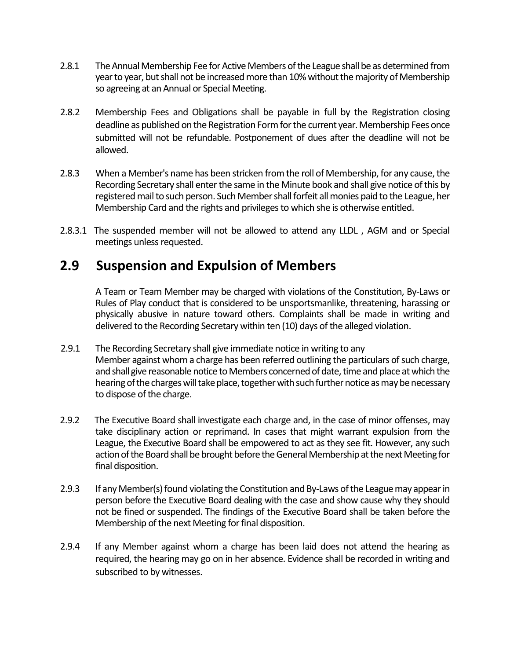- 2.8.1 The Annual Membership Fee for Active Members of the League shall be as determined from year to year, but shall not be increased more than 10% without the majority of Membership so agreeing at an Annual or Special Meeting.
- 2.8.2 Membership Fees and Obligations shall be payable in full by the Registration closing deadline as published on the Registration Form for the current year. Membership Fees once submitted will not be refundable. Postponement of dues after the deadline will not be allowed.
- 2.8.3 When a Member's name has been stricken from the roll of Membership, for any cause, the Recording Secretary shall enter the same in the Minute book and shall give notice of this by registered mail to such person. Such Member shall forfeit all monies paid to the League, her Membership Card and the rights and privileges to which she is otherwise entitled.
- 2.8.3.1 The suspended member will not be allowed to attend any LLDL , AGM and or Special meetings unless requested.

### <span id="page-6-0"></span>**2.9 Suspension and Expulsion of Members**

A Team or Team Member may be charged with violations of the Constitution, By-Laws or Rules of Play conduct that is considered to be unsportsmanlike, threatening, harassing or physically abusive in nature toward others. Complaints shall be made in writing and delivered to the Recording Secretary within ten (10) days of the alleged violation.

- 2.9.1 The Recording Secretary shall give immediate notice in writing to any Member against whom a charge has been referred outlining the particulars of such charge, and shall give reasonable notice to Members concerned of date, time and place at which the hearing of the charges will take place, together with such further notice as may be necessary to dispose of the charge.
- 2.9.2 The Executive Board shall investigate each charge and, in the case of minor offenses, may take disciplinary action or reprimand. In cases that might warrant expulsion from the League, the Executive Board shall be empowered to act as they see fit. However, any such action of the Board shall be brought before the General Membership at the next Meeting for final disposition.
- 2.9.3 If any Member(s) found violating the Constitution and By-Laws of the League may appear in person before the Executive Board dealing with the case and show cause why they should not be fined or suspended. The findings of the Executive Board shall be taken before the Membership of the next Meeting for final disposition.
- 2.9.4 If any Member against whom a charge has been laid does not attend the hearing as required, the hearing may go on in her absence. Evidence shall be recorded in writing and subscribed to by witnesses.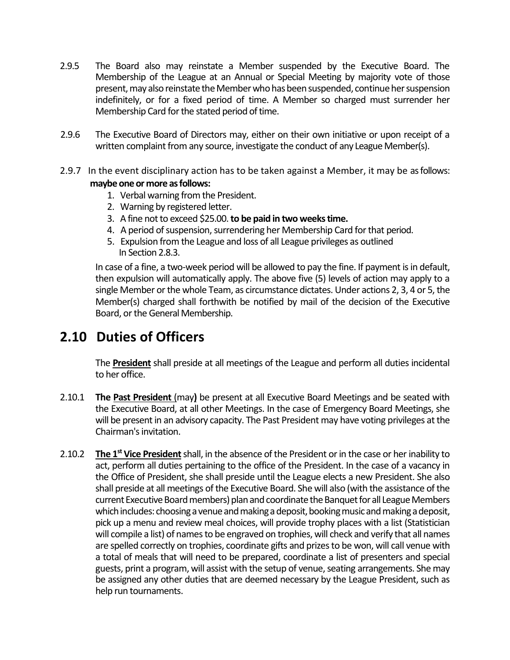- 2.9.5 The Board also may reinstate a Member suspended by the Executive Board. The Membership of the League at an Annual or Special Meeting by majority vote of those present, may also reinstate the Member who has been suspended, continue her suspension indefinitely, or for a fixed period of time. A Member so charged must surrender her Membership Card for the stated period of time.
- 2.9.6 The Executive Board of Directors may, either on their own initiative or upon receipt of a written complaint from any source, investigate the conduct of any League Member(s).
- 2.9.7 In the event disciplinary action has to be taken against a Member, it may be as follows: **maybe one or more as follows:**
	- 1. Verbal warning from the President.
	- 2. Warning by registered letter.
	- 3. A fine not to exceed \$25.00. **to be paid in two weeks time.**
	- 4. A period of suspension, surrendering her Membership Card for that period.
	- 5. Expulsion from the League and loss of all League privileges as outlined In Section 2.8.3.

In case of a fine, a two-week period will be allowed to pay the fine. If payment is in default, then expulsion will automatically apply. The above five (5) levels of action may apply to a single Member or the whole Team, as circumstance dictates. Under actions 2, 3, 4 or 5, the Member(s) charged shall forthwith be notified by mail of the decision of the Executive Board, or the General Membership.

# <span id="page-7-0"></span>**2.10 Duties of Officers**

The **President** shall preside at all meetings of the League and perform all duties incidental to her office.

- 2.10.1 **The Past President** (may**)** be present at all Executive Board Meetings and be seated with the Executive Board, at all other Meetings. In the case of Emergency Board Meetings, she will be present in an advisory capacity. The Past President may have voting privileges at the Chairman's invitation.
- 2.10.2 **The 1st Vice President**shall, in the absence of the President or in the case or her inability to act, perform all duties pertaining to the office of the President. In the case of a vacancy in the Office of President, she shall preside until the League elects a new President. She also shall preside at all meetings of the Executive Board. She will also (with the assistance of the current Executive Board members) plan and coordinate the Banquet for all League Members which includes: choosing a venue and making a deposit, booking music and making a deposit, pick up a menu and review meal choices, will provide trophy places with a list (Statistician will compile a list) of names to be engraved on trophies, will check and verify that all names are spelled correctly on trophies, coordinate gifts and prizes to be won, will call venue with a total of meals that will need to be prepared, coordinate a list of presenters and special guests, print a program, will assist with the setup of venue, seating arrangements. She may be assigned any other duties that are deemed necessary by the League President, such as help run tournaments.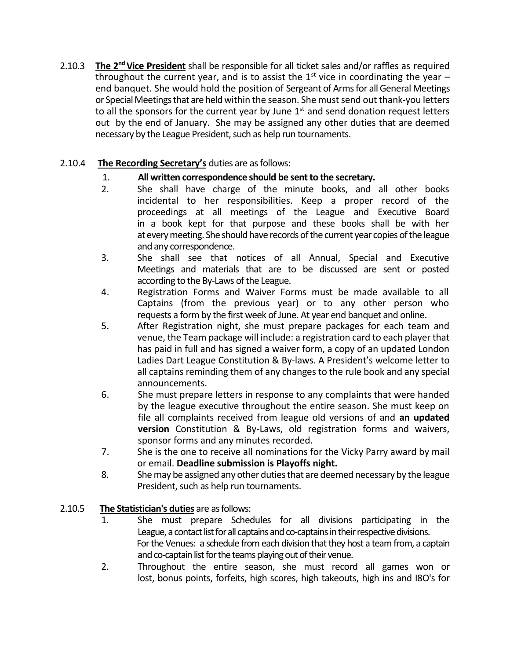2.10.3 **The 2ndVice President** shall be responsible for all ticket sales and/or raffles as required throughout the current year, and is to assist the  $1<sup>st</sup>$  vice in coordinating the year – end banquet. She would hold the position of Sergeant of Arms for all General Meetings or Special Meetings that are held within the season. She must send out thank-you letters to all the sponsors for the current year by June  $1<sup>st</sup>$  and send donation request letters out by the end of January. She may be assigned any other duties that are deemed necessary by the League President, such as help run tournaments.

### 2.10.4 **The Recording Secretary's** duties are as follows:

- 
- 1. **All written correspondence should be sent to the secretary.**<br>2. She shall have charge of the minute books, and She shall have charge of the minute books, and all other books incidental to her responsibilities. Keep a proper record of the proceedings at all meetings of the League and Executive Board in a book kept for that purpose and these books shall be with her at every meeting. She should have records of the current year copies of the league and any correspondence.
- 3. She shall see that notices of all Annual, Special and Executive Meetings and materials that are to be discussed are sent or posted according to the By-Laws of the League.
- 4. Registration Forms and Waiver Forms must be made available to all Captains (from the previous year) or to any other person who requests a form by the first week of June. At year end banquet and online.
- 5. After Registration night, she must prepare packages for each team and venue, the Team package will include: a registration card to each player that has paid in full and has signed a waiver form, a copy of an updated London Ladies Dart League Constitution & By-laws. A President's welcome letter to all captains reminding them of any changes to the rule book and any special announcements.
- 6. She must prepare letters in response to any complaints that were handed by the league executive throughout the entire season. She must keep on file all complaints received from league old versions of and **an updated version** Constitution & By-Laws, old registration forms and waivers, sponsor forms and any minutes recorded.
- 7. She is the one to receive all nominations for the Vicky Parry award by mail or email. **Deadline submission is Playoffs night.**
- 8. She may be assigned any other duties that are deemed necessary by the league President, such as help run tournaments.

### 2.10.5 **The Statistician's duties** are as follows:

- 1. She must prepare Schedules for all divisions participating in the League, a contact list for all captains and co-captains in their respective divisions. For the Venues: a schedule from each division that they host a team from, a captain and co-captain list for the teams playing out of their venue.
- 2. Throughout the entire season, she must record all games won or lost, bonus points, forfeits, high scores, high takeouts, high ins and I8O's for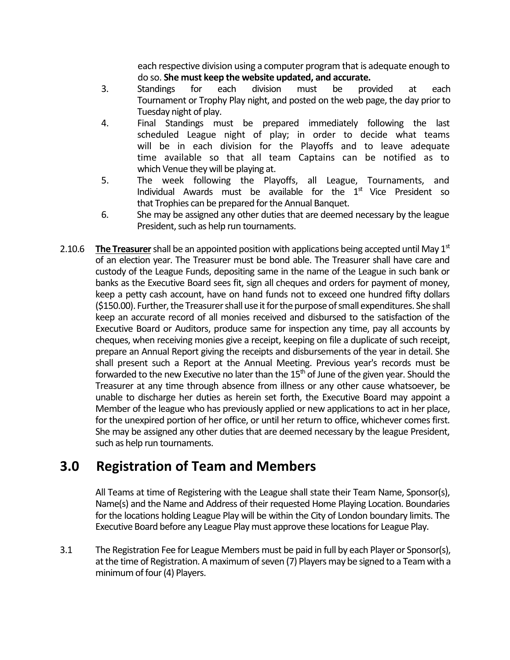each respective division using a computer program that is adequate enough to do so. **She must keep the website updated, and accurate.**

- 3. Standings for each division must be provided at each Tournament or Trophy Play night, and posted on the web page, the day prior to Tuesday night of play.
- 4. Final Standings must be prepared immediately following the last scheduled League night of play; in order to decide what teams will be in each division for the Playoffs and to leave adequate time available so that all team Captains can be notified as to which Venue they will be playing at.
- 5. The week following the Playoffs, all League, Tournaments, and Individual Awards must be available for the  $1<sup>st</sup>$  Vice President so that Trophies can be prepared for the Annual Banquet.
- 6. She may be assigned any other duties that are deemed necessary by the league President, such as help run tournaments.
- 2.10.6 **The Treasurer**shall be an appointed position with applications being accepted until May 1st of an election year. The Treasurer must be bond able. The Treasurer shall have care and custody of the League Funds, depositing same in the name of the League in such bank or banks as the Executive Board sees fit, sign all cheques and orders for payment of money, keep a petty cash account, have on hand funds not to exceed one hundred fifty dollars (\$150.00). Further, the Treasurer shall use it for the purpose of small expenditures. She shall keep an accurate record of all monies received and disbursed to the satisfaction of the Executive Board or Auditors, produce same for inspection any time, pay all accounts by cheques, when receiving monies give a receipt, keeping on file a duplicate of such receipt, prepare an Annual Report giving the receipts and disbursements of the year in detail. She shall present such a Report at the Annual Meeting. Previous year's records must be forwarded to the new Executive no later than the  $15<sup>th</sup>$  of June of the given year. Should the Treasurer at any time through absence from illness or any other cause whatsoever, be unable to discharge her duties as herein set forth, the Executive Board may appoint a Member of the league who has previously applied or new applications to act in her place, for the unexpired portion of her office, or until her return to office, whichever comes first. She may be assigned any other duties that are deemed necessary by the league President, such as help run tournaments.

# <span id="page-9-0"></span>**3.0 Registration of Team and Members**

All Teams at time of Registering with the League shall state their Team Name, Sponsor(s), Name(s) and the Name and Address of their requested Home Playing Location. Boundaries for the locations holding League Play will be within the City of London boundary limits. The Executive Board before any League Play must approve these locations for League Play.

3.1 The Registration Fee for League Members must be paid in full by each Player or Sponsor(s), at the time of Registration. A maximum of seven (7) Players may be signed to a Team with a minimum of four (4) Players.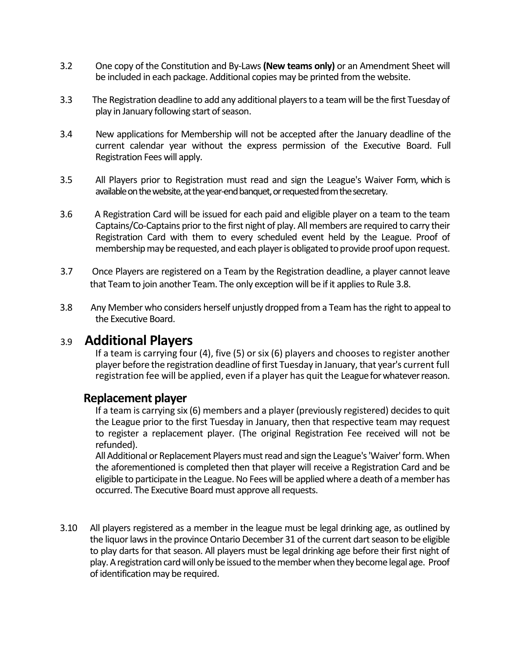- 3.2 One copy of the Constitution and By-Laws **(New teams only)** or an Amendment Sheet will be included in each package. Additional copies may be printed from the website.
- 3.3 The Registration deadline to add any additional players to a team will be the first Tuesday of play in January following start of season.
- 3.4 New applications for Membership will not be accepted after the January deadline of the current calendar year without the express permission of the Executive Board. Full Registration Fees will apply.
- 3.5 All Players prior to Registration must read and sign the League's Waiver Form, which is available on the website, at the year-end banquet, or requested from the secretary.
- 3.6 A Registration Card will be issued for each paid and eligible player on a team to the team Captains/Co-Captains prior to the first night of play. All members are required to carry their Registration Card with them to every scheduled event held by the League. Proof of membership may be requested, and each player is obligated to provide proof upon request.
- 3.7 Once Players are registered on a Team by the Registration deadline, a player cannot leave that Team to join another Team. The only exception will be if it applies to Rule 3.8.
- 3.8 Any Member who considers herself unjustly dropped from a Team has the right to appeal to the Executive Board.

### 3.9 **Additional Players**

If a team is carrying four (4), five (5) or six (6) players and chooses to register another player before the registration deadline of first Tuesday in January, that year's current full registration fee will be applied, even if a player has quit the League for whatever reason.

### **Replacement player**

If a team is carrying six (6) members and a player (previously registered) decides to quit the League prior to the first Tuesday in January, then that respective team may request to register a replacement player. (The original Registration Fee received will not be refunded).

All Additional or Replacement Players must read and sign the League's 'Waiver' form. When the aforementioned is completed then that player will receive a Registration Card and be eligible to participate in the League. No Fees will be applied where a death of a member has occurred. The Executive Board must approve all requests.

3.10 All players registered as a member in the league must be legal drinking age, as outlined by the liquor laws in the province Ontario December 31 of the current dart season to be eligible to play darts for that season. All players must be legal drinking age before their first night of play. A registration card will only be issued to the member when they become legal age. Proof of identification may be required.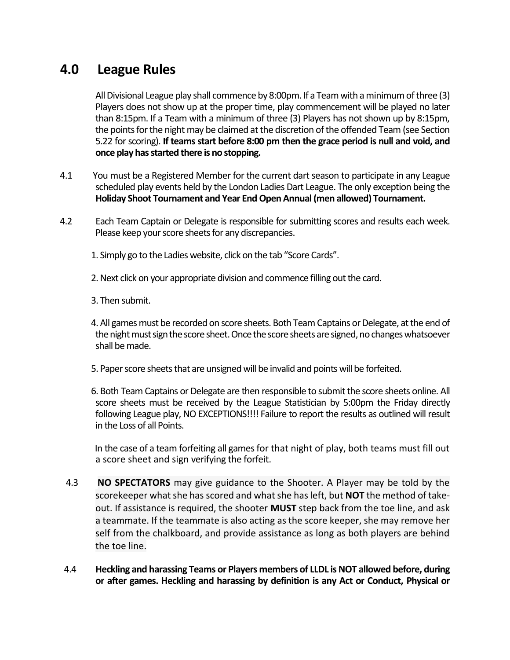# <span id="page-11-0"></span>**4.0 League Rules**

All Divisional League play shall commence by 8:00pm. If a Team with a minimum of three (3) Players does not show up at the proper time, play commencement will be played no later than 8:15pm. If a Team with a minimum of three (3) Players has not shown up by 8:15pm, the points for the night may be claimed at the discretion of the offended Team (see Section 5.22 for scoring). **If teams start before 8:00 pm then the grace period is null and void, and once play has started there is no stopping.**

- 4.1 You must be a Registered Member for the current dart season to participate in any League scheduled play events held by the London Ladies Dart League. The only exception being the **Holiday Shoot Tournament and Year End Open Annual (men allowed) Tournament.**
- 4.2 Each Team Captain or Delegate is responsible for submitting scores and results each week. Please keep your score sheets for any discrepancies.
	- 1. Simply go to the Ladies website, click on the tab "Score Cards".
	- 2. Next click on your appropriate division and commence filling out the card.
	- 3. Then submit.
	- 4. All games must be recorded on score sheets. Both Team Captains or Delegate, at the end of the night must sign the score sheet. Once the score sheets are signed, no changes whatsoever shall be made.
	- 5. Paper score sheets that are unsigned will be invalid and points will be forfeited.
	- 6. Both Team Captains or Delegate are then responsible to submit the score sheets online. All score sheets must be received by the League Statistician by 5:00pm the Friday directly following League play, NO EXCEPTIONS!!!! Failure to report the results as outlined will result in the Loss of all Points.

 In the case of a team forfeiting all games for that night of play, both teams must fill out a score sheet and sign verifying the forfeit.

- 4.3 **NO SPECTATORS** may give guidance to the Shooter. A Player may be told by the scorekeeper what she has scored and what she has left, but **NOT** the method of takeout. If assistance is required, the shooter **MUST** step back from the toe line, and ask a teammate. If the teammate is also acting as the score keeper, she may remove her self from the chalkboard, and provide assistance as long as both players are behind the toe line.
- 4.4 **Heckling and harassing Teams or Players members of LLDL is NOT allowed before, during or after games. Heckling and harassing by definition is any Act or Conduct, Physical or**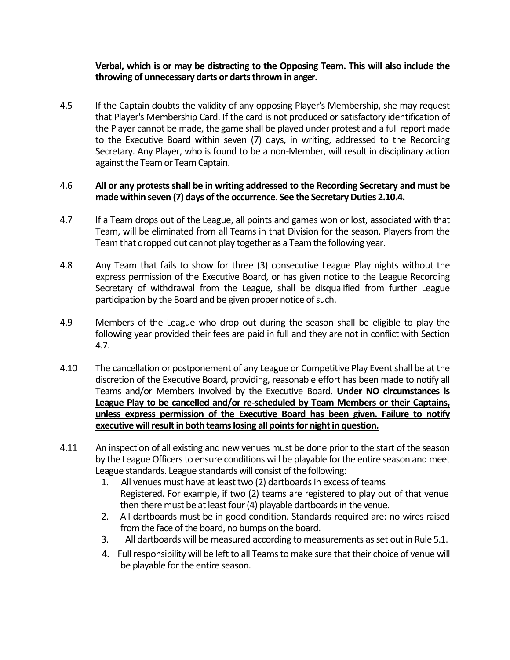#### **Verbal, which is or may be distracting to the Opposing Team. This will also include the throwing of unnecessary darts or darts thrown in anger**.

4.5 If the Captain doubts the validity of any opposing Player's Membership, she may request that Player's Membership Card. If the card is not produced or satisfactory identification of the Player cannot be made, the game shall be played under protest and a full report made to the Executive Board within seven (7) days, in writing, addressed to the Recording Secretary. Any Player, who is found to be a non-Member, will result in disciplinary action against the Team or Team Captain.

#### 4.6 **All or any protests shall be in writing addressed to the Recording Secretary and must be made within seven (7) days of the occurrence**. **See the Secretary Duties 2.10.4.**

- 4.7 If a Team drops out of the League, all points and games won or lost, associated with that Team, will be eliminated from all Teams in that Division for the season. Players from the Team that dropped out cannot play together as a Team the following year.
- 4.8 Any Team that fails to show for three (3) consecutive League Play nights without the express permission of the Executive Board, or has given notice to the League Recording Secretary of withdrawal from the League, shall be disqualified from further League participation by the Board and be given proper notice of such.
- 4.9 Members of the League who drop out during the season shall be eligible to play the following year provided their fees are paid in full and they are not in conflict with Section 4.7.
- 4.10 The cancellation or postponement of any League or Competitive Play Event shall be at the discretion of the Executive Board, providing, reasonable effort has been made to notify all Teams and/or Members involved by the Executive Board. **Under NO circumstances is League Play to be cancelled and/or re-scheduled by Team Members or their Captains, unless express permission of the Executive Board has been given. Failure to notify executive will result in both teams losing all points for night in question.**
- 4.11 An inspection of all existing and new venues must be done prior to the start of the season by the League Officers to ensure conditions will be playable for the entire season and meet League standards. League standards will consist of the following:
	- 1. All venues must have at least two (2) dartboards in excess of teams Registered. For example, if two (2) teams are registered to play out of that venue then there must be at least four (4) playable dartboards in the venue.
	- 2. All dartboards must be in good condition. Standards required are: no wires raised from the face of the board, no bumps on the board.
	- 3. All dartboards will be measured according to measurements as set out in Rule 5.1.
	- 4. Full responsibility will be left to all Teams to make sure that their choice of venue will be playable for the entire season.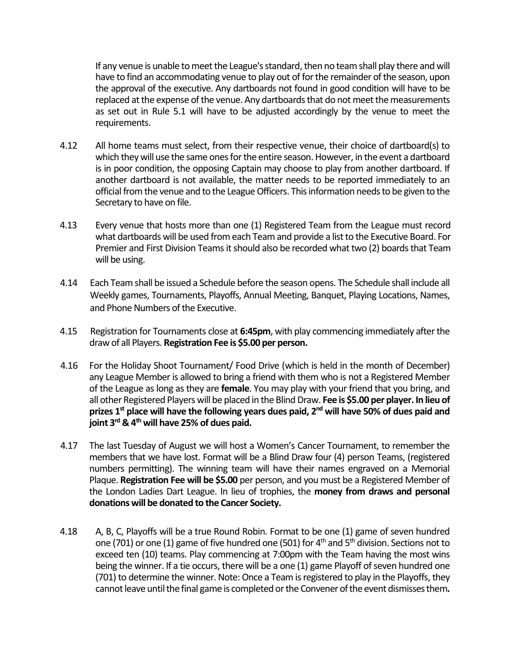If any venue is unable to meet the League's standard, then no team shall play there and will have to find an accommodating venue to play out of for the remainder of the season, upon the approval of the executive. Any dartboards not found in good condition will have to be replaced at the expense of the venue. Any dartboards that do not meet the measurements as set out in Rule 5.1 will have to be adjusted accordingly by the venue to meet the requirements.

- 4.12 All home teams must select, from their respective venue, their choice of dartboard(s) to which they will use the same ones for the entire season. However, in the event a dartboard is in poor condition, the opposing Captain may choose to play from another dartboard. If another dartboard is not available, the matter needs to be reported immediately to an official from the venue and to the League Officers. This information needs to be given to the Secretary to have on file.
- 4.13 Every venue that hosts more than one (1) Registered Team from the League must record what dartboards will be used from each Team and provide a list to the Executive Board. For Premier and First Division Teams it should also be recorded what two (2) boards that Team will be using.
- 4.14 Each Team shall be issued a Schedule before the season opens. The Schedule shall include all Weekly games, Tournaments, Playoffs, Annual Meeting, Banquet, Playing Locations, Names, and Phone Numbers of the Executive.
- 4.15 Registration for Tournaments close at **6:45pm**, with play commencing immediately after the draw of all Players. **Registration Fee is \$5.00 per person.**
- 4.16 For the Holiday Shoot Tournament/ Food Drive (which is held in the month of December) any League Member is allowed to bring a friend with them who is not a Registered Member of the League as long as they are **female**. You may play with your friend that you bring, and all other Registered Players will be placed in the Blind Draw. **Fee is \$5.00 per player. In lieu of prizes 1st place will have the following years dues paid, 2nd will have 50% of dues paid and joint 3rd & 4th will have 25% of dues paid.**
- 4.17 The last Tuesday of August we will host a Women's Cancer Tournament, to remember the members that we have lost. Format will be a Blind Draw four (4) person Teams, (registered numbers permitting). The winning team will have their names engraved on a Memorial Plaque. **Registration Fee will be \$5.00** per person, and you must be a Registered Member of the London Ladies Dart League. In lieu of trophies, the **money from draws and personal donations will be donated to the Cancer Society.**
- 4.18 A, B, C, Playoffs will be a true Round Robin. Format to be one (1) game of seven hundred one (701) or one (1) game of five hundred one (501) for  $4<sup>th</sup>$  and  $5<sup>th</sup>$  division. Sections not to exceed ten (10) teams. Play commencing at 7:00pm with the Team having the most wins being the winner. If a tie occurs, there will be a one (1) game Playoff of seven hundred one (701) to determine the winner. Note: Once a Team is registered to play in the Playoffs, they cannot leave until the final game is completed or the Convener of the event dismisses them**.**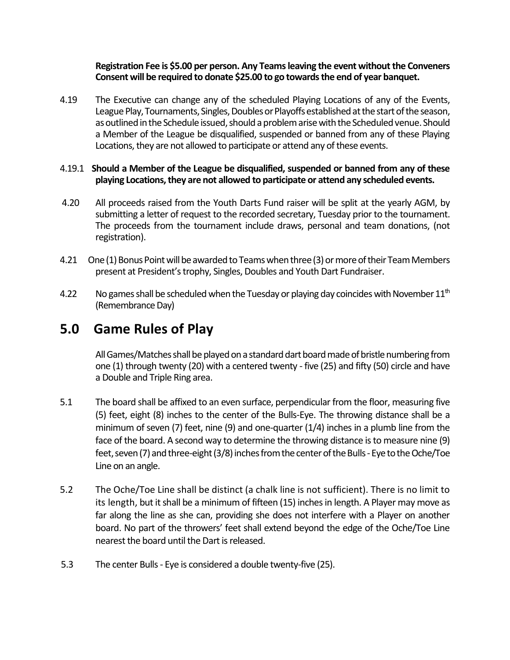#### **Registration Fee is \$5.00 per person. Any Teams leaving the event without the Conveners Consent will be required to donate \$25.00 to go towards the end of year banquet.**

4.19 The Executive can change any of the scheduled Playing Locations of any of the Events, League Play, Tournaments, Singles, Doubles or Playoffs established at the start of the season, as outlined in the Schedule issued, should a problem arise with the Scheduled venue. Should a Member of the League be disqualified, suspended or banned from any of these Playing Locations, they are not allowed to participate or attend any of these events.

#### 4.19.1 **Should a Member of the League be disqualified, suspended or banned from any of these playing Locations, they are not allowed to participate or attend any scheduled events.**

- 4.20 All proceeds raised from the Youth Darts Fund raiser will be split at the yearly AGM, by submitting a letter of request to the recorded secretary, Tuesday prior to the tournament. The proceeds from the tournament include draws, personal and team donations, (not registration).
- 4.21 One (1) Bonus Point will be awarded to Teams when three (3) or more of their Team Members present at President's trophy, Singles, Doubles and Youth Dart Fundraiser.
- 4.22 No games shall be scheduled when the Tuesday or playing day coincides with November  $11<sup>th</sup>$ (Remembrance Day)

### <span id="page-14-0"></span>**5.0 Game Rules of Play**

All Games/Matches shall be played on a standard dart board made of bristle numbering from one (1) through twenty (20) with a centered twenty - five (25) and fifty (50) circle and have a Double and Triple Ring area.

- 5.1 The board shall be affixed to an even surface, perpendicular from the floor, measuring five (5) feet, eight (8) inches to the center of the Bulls-Eye. The throwing distance shall be a minimum of seven (7) feet, nine (9) and one-quarter  $(1/4)$  inches in a plumb line from the face of the board. A second way to determine the throwing distance is to measure nine (9) feet, seven (7) and three-eight (3/8) inches from the center of the Bulls-Eye to the Oche/Toe Line on an angle.
- 5.2 The Oche/Toe Line shall be distinct (a chalk line is not sufficient). There is no limit to its length, but it shall be a minimum of fifteen (15) inches in length. A Player may move as far along the line as she can, providing she does not interfere with a Player on another board. No part of the throwers' feet shall extend beyond the edge of the Oche/Toe Line nearest the board until the Dart is released.
- 5.3 The center Bulls- Eye is considered a double twenty-five (25).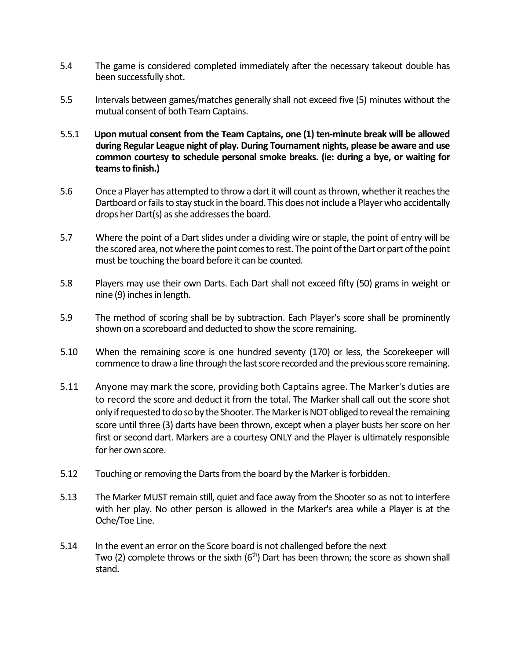- 5.4 The game is considered completed immediately after the necessary takeout double has been successfully shot.
- 5.5 Intervals between games/matches generally shall not exceed five (5) minutes without the mutual consent of both Team Captains.
- 5.5.1 **Upon mutual consent from the Team Captains, one (1) ten-minute break will be allowed during Regular League night of play. During Tournament nights, please be aware and use common courtesy to schedule personal smoke breaks. (ie: during a bye, or waiting for teams to finish.)**
- 5.6 Once a Player has attempted to throw a dart it will count as thrown, whether it reaches the Dartboard or fails to stay stuck in the board. This does not include a Player who accidentally drops her Dart(s) as she addresses the board.
- 5.7 Where the point of a Dart slides under a dividing wire or staple, the point of entry will be the scored area, not where the point comes to rest. The point of the Dart or part of the point must be touching the board before it can be counted.
- 5.8 Players may use their own Darts. Each Dart shall not exceed fifty (50) grams in weight or nine (9) inches in length.
- 5.9 The method of scoring shall be by subtraction. Each Player's score shall be prominently shown on a scoreboard and deducted to show the score remaining.
- 5.10 When the remaining score is one hundred seventy (170) or less, the Scorekeeper will commence to draw a line through the last score recorded and the previous score remaining.
- 5.11 Anyone may mark the score, providing both Captains agree. The Marker's duties are to record the score and deduct it from the total. The Marker shall call out the score shot only if requested to do so by the Shooter. The Marker is NOT obliged to reveal the remaining score until three (3) darts have been thrown, except when a player busts her score on her first or second dart. Markers are a courtesy ONLY and the Player is ultimately responsible for her own score.
- 5.12 Touching or removing the Darts from the board by the Marker is forbidden.
- 5.13 The Marker MUST remain still, quiet and face away from the Shooter so as not to interfere with her play. No other person is allowed in the Marker's area while a Player is at the Oche/Toe Line.
- 5.14 In the event an error on the Score board is not challenged before the next Two (2) complete throws or the sixth  $(6<sup>th</sup>)$  Dart has been thrown; the score as shown shall stand.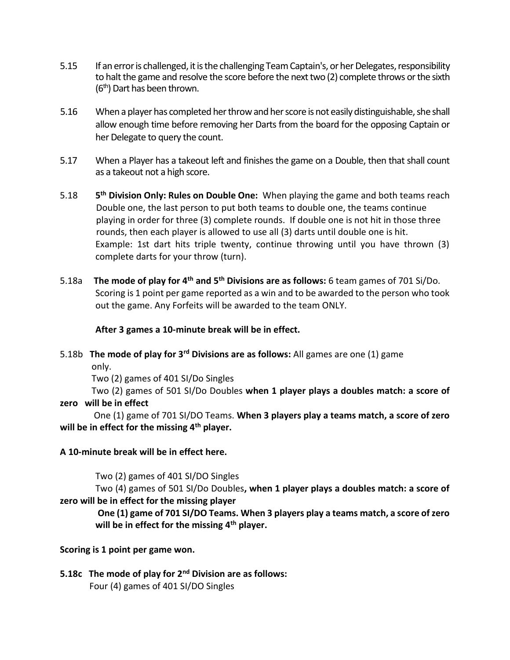- 5.15 If an error is challenged, it is the challenging Team Captain's, or her Delegates, responsibility to halt the game and resolve the score before the next two (2) complete throws or the sixth  $(6<sup>th</sup>)$  Dart has been thrown.
- 5.16 When a player has completed her throw and her score is not easily distinguishable, she shall allow enough time before removing her Darts from the board for the opposing Captain or her Delegate to query the count.
- 5.17 When a Player has a takeout left and finishes the game on a Double, then that shall count as a takeout not a high score.
- 5.18 **5 th Division Only: Rules on Double One:** When playing the game and both teams reach Double one, the last person to put both teams to double one, the teams continue playing in order for three (3) complete rounds. If double one is not hit in those three rounds, then each player is allowed to use all (3) darts until double one is hit. Example: 1st dart hits triple twenty, continue throwing until you have thrown (3) complete darts for your throw (turn).
- 5.18a **The mode of play for 4th and 5th Divisions are as follows:** 6 team games of 701 Si/Do. Scoring is 1 point per game reported as a win and to be awarded to the person who took out the game. Any Forfeits will be awarded to the team ONLY.

### **After 3 games a 10-minute break will be in effect.**

#### 5.18b **The mode of play for 3rd Divisions are as follows:** All games are one (1) game only.

Two (2) games of 401 SI/Do Singles

 Two (2) games of 501 SI/Do Doubles **when 1 player plays a doubles match: a score of zero will be in effect** 

One (1) game of 701 SI/DO Teams. **When 3 players play a teams match, a score of zero will be in effect for the missing 4th player.**

### **A 10-minute break will be in effect here.**

Two (2) games of 401 SI/DO Singles

Two (4) games of 501 SI/Do Doubles**, when 1 player plays a doubles match: a score of zero will be in effect for the missing player**

**One (1) game of 701 SI/DO Teams. When 3 players play a teams match, a score of zero will be in effect for the missing 4th player.**

### **Scoring is 1 point per game won.**

**5.18c The mode of play for 2nd Division are as follows:** Four (4) games of 401 SI/DO Singles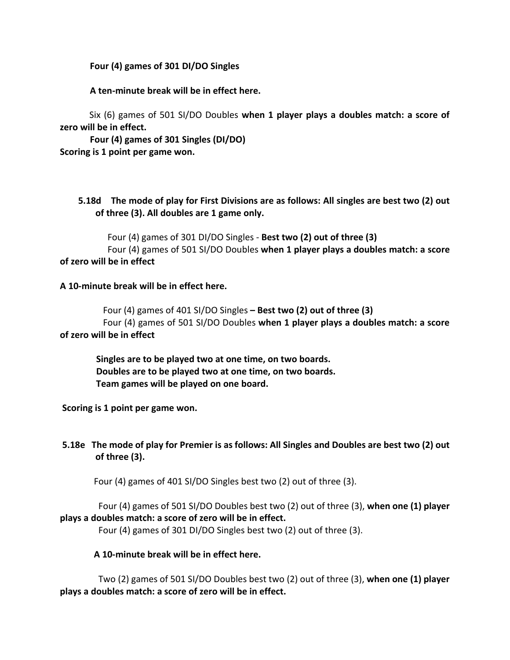#### **Four (4) games of 301 DI/DO Singles**

#### **A ten-minute break will be in effect here.**

 Six (6) games of 501 SI/DO Doubles **when 1 player plays a doubles match: a score of zero will be in effect.**

**Four (4) games of 301 Singles (DI/DO) Scoring is 1 point per game won.**

### **5.18d The mode of play for First Divisions are as follows: All singles are best two (2) out of three (3). All doubles are 1 game only.**

 Four (4) games of 301 DI/DO Singles - **Best two (2) out of three (3)** Four (4) games of 501 SI/DO Doubles **when 1 player plays a doubles match: a score of zero will be in effect**

#### **A 10-minute break will be in effect here.**

 Four (4) games of 401 SI/DO Singles **– Best two (2) out of three (3)** Four (4) games of 501 SI/DO Doubles **when 1 player plays a doubles match: a score of zero will be in effect**

 **Singles are to be played two at one time, on two boards. Doubles are to be played two at one time, on two boards. Team games will be played on one board.**

**Scoring is 1 point per game won.**

### **5.18e The mode of play for Premier is as follows: All Singles and Doubles are best two (2) out of three (3).**

Four (4) games of 401 SI/DO Singles best two (2) out of three (3).

 Four (4) games of 501 SI/DO Doubles best two (2) out of three (3), **when one (1) player plays a doubles match: a score of zero will be in effect.**

Four (4) games of 301 DI/DO Singles best two (2) out of three (3).

#### **A 10-minute break will be in effect here.**

 Two (2) games of 501 SI/DO Doubles best two (2) out of three (3), **when one (1) player plays a doubles match: a score of zero will be in effect.**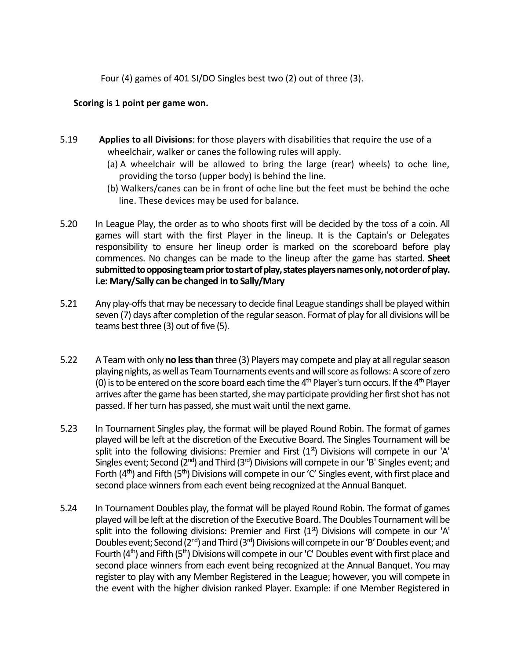Four (4) games of 401 SI/DO Singles best two (2) out of three (3).

#### **Scoring is 1 point per game won.**

- 5.19 **Applies to all Divisions**: for those players with disabilities that require the use of a wheelchair, walker or canes the following rules will apply.
	- (a) A wheelchair will be allowed to bring the large (rear) wheels) to oche line, providing the torso (upper body) is behind the line.
	- (b) Walkers/canes can be in front of oche line but the feet must be behind the oche line. These devices may be used for balance.
- 5.20 In League Play, the order as to who shoots first will be decided by the toss of a coin. All games will start with the first Player in the lineup. It is the Captain's or Delegates responsibility to ensure her lineup order is marked on the scoreboard before play commences. No changes can be made to the lineup after the game has started. **Sheet submitted to opposing team prior to start of play, states players names only, not order of play. i.e: Mary/Sally can be changed in to Sally/Mary**
- 5.21 Any play-offs that may be necessary to decide final League standings shall be played within seven (7) days after completion of the regular season. Format of play for all divisions will be teams best three (3) out of five (5).
- 5.22 A Team with only **no less than** three (3) Playersmay compete and play at all regular season playing nights, as well as Team Tournaments events and will score as follows: A score of zero (0) is to be entered on the score board each time the  $4<sup>th</sup>$  Player's turn occurs. If the  $4<sup>th</sup>$  Player arrives after the game has been started, she may participate providing her first shot has not passed. If her turn has passed, she must wait until the next game.
- 5.23 In Tournament Singles play, the format will be played Round Robin. The format of games played will be left at the discretion of the Executive Board. The Singles Tournament will be split into the following divisions: Premier and First  $(1<sup>st</sup>)$  Divisions will compete in our 'A' Singles event; Second  $(2^{nd})$  and Third  $(3^{rd})$  Divisions will compete in our 'B' Singles event; and Forth  $(4<sup>th</sup>)$  and Fifth  $(5<sup>th</sup>)$  Divisions will compete in our 'C' Singles event, with first place and second place winners from each event being recognized at the Annual Banquet.
- 5.24 In Tournament Doubles play, the format will be played Round Robin. The format of games played will be left at the discretion of the Executive Board. The Doubles Tournament will be split into the following divisions: Premier and First  $(1<sup>st</sup>)$  Divisions will compete in our 'A' Doubles event; Second (2<sup>nd</sup>) and Third (3<sup>rd</sup>) Divisions will compete in our 'B' Doubles event; and Fourth  $(4<sup>th</sup>)$  and Fifth  $(5<sup>th</sup>)$  Divisions will compete in our 'C' Doubles event with first place and second place winners from each event being recognized at the Annual Banquet. You may register to play with any Member Registered in the League; however, you will compete in the event with the higher division ranked Player. Example: if one Member Registered in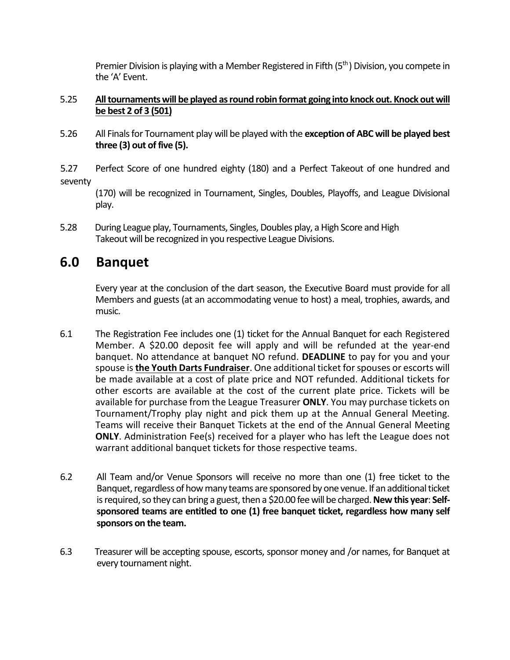Premier Division is playing with a Member Registered in Fifth (5<sup>th</sup>) Division, you compete in the 'A' Event.

### 5.25 **All tournaments will be played as round robin format going into knock out. Knock out will be best 2 of 3 (501)**

5.26 All Finals for Tournament play will be played with the **exception of ABC will be played best three (3) out of five (5).**

5.27 Perfect Score of one hundred eighty (180) and a Perfect Takeout of one hundred and seventy

(170) will be recognized in Tournament, Singles, Doubles, Playoffs, and League Divisional play.

5.28 During League play, Tournaments, Singles, Doubles play, a High Score and High Takeout will be recognized in you respective League Divisions.

### <span id="page-19-0"></span>**6.0 Banquet**

Every year at the conclusion of the dart season, the Executive Board must provide for all Members and guests (at an accommodating venue to host) a meal, trophies, awards, and music.

- 6.1 The Registration Fee includes one (1) ticket for the Annual Banquet for each Registered Member. A \$20.00 deposit fee will apply and will be refunded at the year-end banquet. No attendance at banquet NO refund. **DEADLINE** to pay for you and your spouse is **the Youth Darts Fundraiser**. One additional ticket for spouses or escorts will be made available at a cost of plate price and NOT refunded. Additional tickets for other escorts are available at the cost of the current plate price. Tickets will be available for purchase from the League Treasurer **ONLY**. You may purchase tickets on Tournament/Trophy play night and pick them up at the Annual General Meeting. Teams will receive their Banquet Tickets at the end of the Annual General Meeting **ONLY.** Administration Fee(s) received for a player who has left the League does not warrant additional banquet tickets for those respective teams.
- 6.2 All Team and/or Venue Sponsors will receive no more than one (1) free ticket to the Banquet, regardless of how many teams are sponsored by one venue. If an additional ticket is required, so they can bring a guest, then a \$20.00 fee will be charged. **New this year**: **Selfsponsored teams are entitled to one (1) free banquet ticket, regardless how many self sponsors on the team.**
- 6.3 Treasurer will be accepting spouse, escorts, sponsor money and /or names, for Banquet at every tournament night.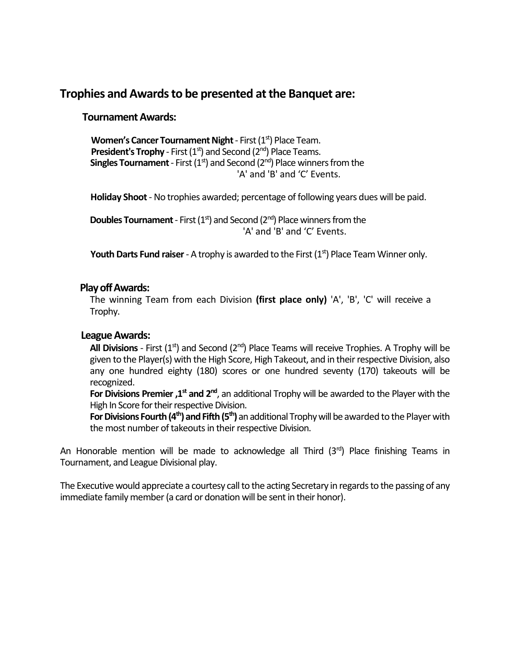### **Trophies and Awards to be presented at the Banquet are:**

### **Tournament Awards:**

**Women's Cancer Tournament Night - First (1st) Place Team. President's Trophy** - First (1<sup>st</sup>) and Second (2<sup>nd</sup>) Place Teams. **Singles Tournament** - First  $(1<sup>st</sup>)$  and Second  $(2<sup>nd</sup>)$  Place winners from the 'A' and 'B' and 'C' Events.

**Holiday Shoot** - No trophies awarded; percentage of following years dues will be paid.

**Doubles Tournament** - First  $(1<sup>st</sup>)$  and Second  $(2<sup>nd</sup>)$  Place winners from the 'A' and 'B' and 'C' Events.

**Youth Darts Fund raiser** - A trophy is awarded to the First (1<sup>st</sup>) Place Team Winner only.

### **Play off Awards:**

The winning Team from each Division **(first place only)** 'A', 'B', 'C' will receive a Trophy.

#### **League Awards:**

**All Divisions** - First  $(1<sup>st</sup>)$  and Second  $(2<sup>nd</sup>)$  Place Teams will receive Trophies. A Trophy will be given to the Player(s) with the High Score, High Takeout, and in their respective Division, also any one hundred eighty (180) scores or one hundred seventy (170) takeouts will be recognized.

For Divisions Premier ,1<sup>st</sup> and 2<sup>nd</sup>, an additional Trophy will be awarded to the Player with the High In Score for their respective Division.

**For Divisions Fourth (4th) and Fifth (5th)** an additional Trophy will be awarded to the Player with the most number of takeouts in their respective Division.

An Honorable mention will be made to acknowledge all Third  $(3<sup>rd</sup>)$  Place finishing Teams in Tournament, and League Divisional play.

The Executive would appreciate a courtesy call to the acting Secretary in regards to the passing of any immediate family member (a card or donation will be sent in their honor).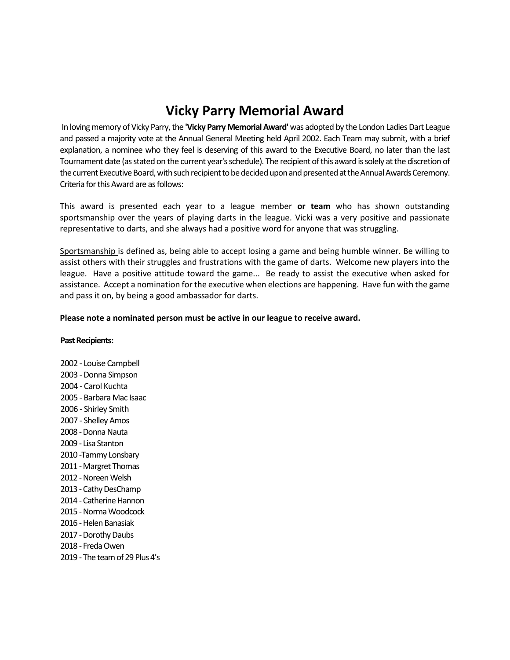# **Vicky Parry Memorial Award**

In loving memory of Vicky Parry, the **'Vicky Parry Memorial Award'** was adopted by the London Ladies Dart League and passed a majority vote at the Annual General Meeting held April 2002. Each Team may submit, with a brief explanation, a nominee who they feel is deserving of this award to the Executive Board, no later than the last Tournament date (as stated on the current year's schedule). The recipient of this award is solely at the discretion of the current Executive Board, with such recipient to be decided upon and presented at the Annual Awards Ceremony. Criteria for this Award are as follows:

This award is presented each year to a league member **or team** who has shown outstanding sportsmanship over the years of playing darts in the league. Vicki was a very positive and passionate representative to darts, and she always had a positive word for anyone that was struggling.

Sportsmanship is defined as, being able to accept losing a game and being humble winner. Be willing to assist others with their struggles and frustrations with the game of darts. Welcome new players into the league. Have a positive attitude toward the game... Be ready to assist the executive when asked for assistance. Accept a nomination for the executive when elections are happening. Have fun with the game and pass it on, by being a good ambassador for darts.

#### **Please note a nominated person must be active in our league to receive award.**

#### **Past Recipients:**

2002 - Louise Campbell 2003 - Donna Simpson 2004 - Carol Kuchta 2005 - Barbara Mac Isaac 2006 - Shirley Smith 2007 - Shelley Amos 2008 - Donna Nauta 2009 - Lisa Stanton 2010 -Tammy Lonsbary 2011 -Margret Thomas 2012 -Noreen Welsh 2013 -Cathy DesChamp 2014 - Catherine Hannon 2015 -Norma Woodcock 2016 -Helen Banasiak 2017 -Dorothy Daubs 2018 - Freda Owen 2019 - The team of 29 Plus 4's